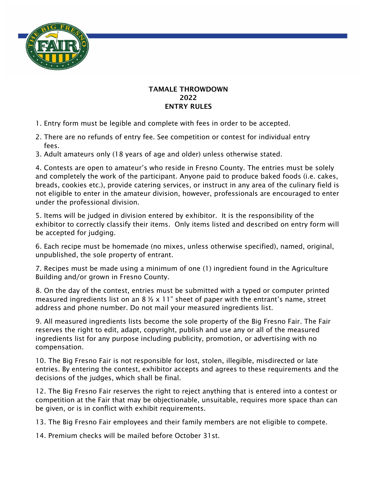

## TAMALE THROWDOWN 2022 ENTRY RULES

- 1. Entry form must be legible and complete with fees in order to be accepted.
- 2. There are no refunds of entry fee. See competition or contest for individual entry fees.
- 3. Adult amateurs only (18 years of age and older) unless otherwise stated.

4. Contests are open to amateur's who reside in Fresno County. The entries must be solely and completely the work of the participant. Anyone paid to produce baked foods (i.e. cakes, breads, cookies etc.), provide catering services, or instruct in any area of the culinary field is not eligible to enter in the amateur division, however, professionals are encouraged to enter under the professional division.

5. Items will be judged in division entered by exhibitor. It is the responsibility of the exhibitor to correctly classify their items. Only items listed and described on entry form will be accepted for judging.

6. Each recipe must be homemade (no mixes, unless otherwise specified), named, original, unpublished, the sole property of entrant.

7. Recipes must be made using a minimum of one (1) ingredient found in the Agriculture Building and/or grown in Fresno County.

8. On the day of the contest, entries must be submitted with a typed or computer printed measured ingredients list on an 8  $\frac{1}{2}$  x 11" sheet of paper with the entrant's name, street address and phone number. Do not mail your measured ingredients list.

9. All measured ingredients lists become the sole property of the Big Fresno Fair. The Fair reserves the right to edit, adapt, copyright, publish and use any or all of the measured ingredients list for any purpose including publicity, promotion, or advertising with no compensation.

10. The Big Fresno Fair is not responsible for lost, stolen, illegible, misdirected or late entries. By entering the contest, exhibitor accepts and agrees to these requirements and the decisions of the judges, which shall be final.

12. The Big Fresno Fair reserves the right to reject anything that is entered into a contest or competition at the Fair that may be objectionable, unsuitable, requires more space than can be given, or is in conflict with exhibit requirements.

13. The Big Fresno Fair employees and their family members are not eligible to compete.

14. Premium checks will be mailed before October 31st.